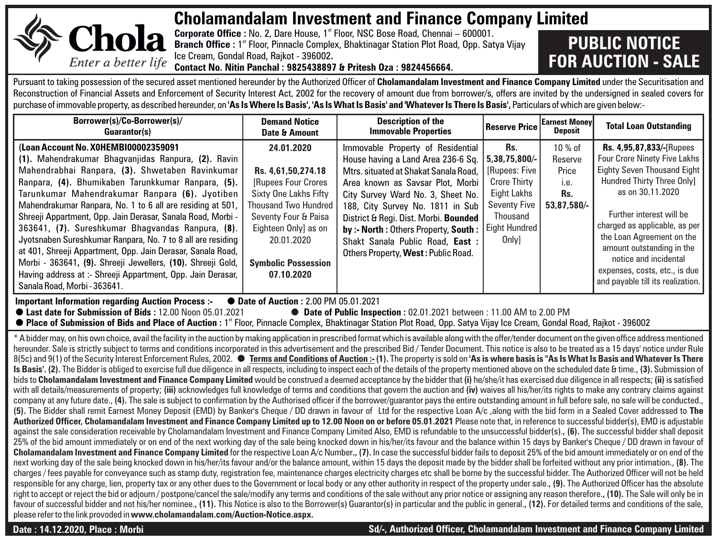

## **Cholamandalam Investment and Finance Company Limited**

**Corporate Office :** No. 2, Dare House, 1<sup>st</sup> Floor, NSC Bose Road, Chennai – 600001. **Branch Office :** 1<sup>\*</sup> Floor, Pinnacle Complex, Bhaktinagar Station Plot Road, Opp. Satya Vijay Ice Cream, Gondal Road, Rajkot - 396002**. Contact No. Nitin Panchal : 9825438897 & Pritesh Oza : 9824456664.**

## **PUBLIC NOTICE FOR AUCTION - SALE**

Pursuant to taking possession of the secured asset mentioned hereunder by the Authorized Officer of **Cholamandalam Investment and Finance Company Limited** under the Securitisation and Reconstruction of Financial Assets and Enforcement of Security Interest Act, 2002 for the recovery of amount due from borrower/s, offers are invited by the undersigned in sealed covers for purchase of immovable property, as described hereunder, on **'As Is Where Is Basis', 'As Is What Is Basis' and 'Whatever Is There Is Basis',** Particulars of which are given below:-

| Borrower(s)/Co-Borrower(s)/<br>Guarantor(s)                                                                                                                                                                                                                                                                                                                                                                                                                                                                                                                                                                                                                                                                                                                                                                                                                                                                                                                                                                                                                                                                                                                                                                                                                                                                                                                                                                                                                                                                                                                                                                                                                                                                                                                                                                                                                                                                                                                                                                                                                                                                                                                                                                                                                                                                                                                                                                                                                                                                                                                                                                                                                                                                                                                                                                                                                                                                                                                                                                                                                                                                                                                                                                                                                                                                                                                                                                                                                                                                                                                                                                                                                               | <b>Demand Notice</b><br>Date & Amount                                                                                                                                                                                            | <b>Description of the</b><br><b>Immovable Properties</b>                                                                                                                                                                                                                                                                                                                                 | <b>Reserve Price</b>                                                                                                                                          | <b>Earnest Money</b><br><b>Deposit</b>                    | <b>Total Loan Outstanding</b>                                                                                                                                                                                                                                                                                                                                                 |  |  |  |  |
|---------------------------------------------------------------------------------------------------------------------------------------------------------------------------------------------------------------------------------------------------------------------------------------------------------------------------------------------------------------------------------------------------------------------------------------------------------------------------------------------------------------------------------------------------------------------------------------------------------------------------------------------------------------------------------------------------------------------------------------------------------------------------------------------------------------------------------------------------------------------------------------------------------------------------------------------------------------------------------------------------------------------------------------------------------------------------------------------------------------------------------------------------------------------------------------------------------------------------------------------------------------------------------------------------------------------------------------------------------------------------------------------------------------------------------------------------------------------------------------------------------------------------------------------------------------------------------------------------------------------------------------------------------------------------------------------------------------------------------------------------------------------------------------------------------------------------------------------------------------------------------------------------------------------------------------------------------------------------------------------------------------------------------------------------------------------------------------------------------------------------------------------------------------------------------------------------------------------------------------------------------------------------------------------------------------------------------------------------------------------------------------------------------------------------------------------------------------------------------------------------------------------------------------------------------------------------------------------------------------------------------------------------------------------------------------------------------------------------------------------------------------------------------------------------------------------------------------------------------------------------------------------------------------------------------------------------------------------------------------------------------------------------------------------------------------------------------------------------------------------------------------------------------------------------------------------------------------------------------------------------------------------------------------------------------------------------------------------------------------------------------------------------------------------------------------------------------------------------------------------------------------------------------------------------------------------------------------------------------------------------------------------------------------------------|----------------------------------------------------------------------------------------------------------------------------------------------------------------------------------------------------------------------------------|------------------------------------------------------------------------------------------------------------------------------------------------------------------------------------------------------------------------------------------------------------------------------------------------------------------------------------------------------------------------------------------|---------------------------------------------------------------------------------------------------------------------------------------------------------------|-----------------------------------------------------------|-------------------------------------------------------------------------------------------------------------------------------------------------------------------------------------------------------------------------------------------------------------------------------------------------------------------------------------------------------------------------------|--|--|--|--|
| (Loan Account No. XOHEMBI00002359091<br>(1). Mahendrakumar Bhagvanjidas Ranpura, (2). Ravin<br>Mahendrabhai Ranpara, (3). Shwetaben Ravinkumar<br>Ranpara, (4). Bhumikaben Tarunkkumar Ranpara, (5).<br>Tarunkumar Mahendrakumar Ranpara (6). Jyotiben<br>Mahendrakumar Ranpara, No. 1 to 6 all are residing at 501,<br>Shreeji Appartment, Opp. Jain Derasar, Sanala Road, Morbi -<br>363641, (7). Sureshkumar Bhagvandas Ranpura, (8).<br>Jyotsnaben Sureshkumar Ranpara, No. 7 to 8 all are residing<br>at 401, Shreeji Appartment, Opp. Jain Derasar, Sanala Road,<br>Morbi - 363641, (9). Shreeji Jewellers, (10). Shreeji Gold,<br>Having address at :- Shreeji Appartment, Opp. Jain Derasar,<br>Sanala Road, Morbi - 363641.                                                                                                                                                                                                                                                                                                                                                                                                                                                                                                                                                                                                                                                                                                                                                                                                                                                                                                                                                                                                                                                                                                                                                                                                                                                                                                                                                                                                                                                                                                                                                                                                                                                                                                                                                                                                                                                                                                                                                                                                                                                                                                                                                                                                                                                                                                                                                                                                                                                                                                                                                                                                                                                                                                                                                                                                                                                                                                                                      | 24.01.2020<br>Rs. 4,61,50,274.18<br><b>IRupees Four Crores</b><br>Sixty One Lakhs Fifty<br><b>Thousand Two Hundred</b><br>Seventy Four & Paisa<br>Eighteen Only] as on<br>20.01.2020<br><b>Symbolic Possession</b><br>07.10.2020 | Immovable Property of Residential<br>House having a Land Area 236-6 Sq.<br>Mtrs. situated at Shakat Sanala Road.<br>Area known as Savsar Plot, Morbi<br>City Survey Ward No. 3, Sheet No.<br>188, City Survey No. 1811 in Sub<br>District & Real. Dist. Morbi. Bounded<br>by:- North: Others Property, South:<br>Shakt Sanala Public Road, East :<br>Others Property, West: Public Road. | Rs.<br>5.38.75.800/-<br><b>IRupees: Five</b><br><b>Crore Thirty</b><br><b>Eight Lakhs</b><br><b>Seventy Five</b><br>Thousand<br><b>Eight Hundred</b><br>Only] | 10 % of<br>Reserve<br>Price<br>i.e.<br>Rs.<br>53.87.580/- | Rs. 4,95,87,833/ [Rupees<br><b>Four Crore Ninety Five Lakhs</b><br><b>Eighty Seven Thousand Eight</b><br>Hundred Thirty Three Only]<br>as on 30.11.2020<br>Further interest will be<br>charged as applicable, as per<br>the Loan Agreement on the<br>amount outstanding in the<br>notice and incidental<br>expenses, costs, etc., is due<br>and payable till its realization. |  |  |  |  |
| ● Date of Auction: 2.00 PM 05.01.2021<br><b>Important Information regarding Auction Process:</b><br>● Date of Public Inspection: 02.01.2021 between: 11.00 AM to 2.00 PM<br>● Last date for Submission of Bids: 12.00 Noon 05.01.2021<br>● Place of Submission of Bids and Place of Auction : 1" Floor, Pinnacle Complex, Bhaktinagar Station Plot Road, Opp. Satya Vijay Ice Cream, Gondal Road, Rajkot - 396002                                                                                                                                                                                                                                                                                                                                                                                                                                                                                                                                                                                                                                                                                                                                                                                                                                                                                                                                                                                                                                                                                                                                                                                                                                                                                                                                                                                                                                                                                                                                                                                                                                                                                                                                                                                                                                                                                                                                                                                                                                                                                                                                                                                                                                                                                                                                                                                                                                                                                                                                                                                                                                                                                                                                                                                                                                                                                                                                                                                                                                                                                                                                                                                                                                                         |                                                                                                                                                                                                                                  |                                                                                                                                                                                                                                                                                                                                                                                          |                                                                                                                                                               |                                                           |                                                                                                                                                                                                                                                                                                                                                                               |  |  |  |  |
| * A bidder may, on his own choice, avail the facility in the auction by making application in prescribed format which is available along with the offer/tender document on the given office address mentioned<br>hereunder. Sale is strictly subject to terms and conditions incorporated in this advertisement and the prescribed Bid / Tender Document. This notice is also to be treated as a 15 days' notice under Rule<br>8/5c) and 9/1) of the Security Interest Enforcement Rules. 2002. ● Terms and Conditions of Auction:-(1). The property is sold on 'As is where basis is "As Is What Is Basis and Whatever Is There<br>Is Basis'. (2). The Bidder is obliged to exercise full due diligence in all respects, including to inspect each of the details of the property mentioned above on the scheduled date & time., (3). Submission of<br>bids to Cholamandalam Investment and Finance Company Limited would be construed a deemed acceptance by the bidder that (i) he/she/it has exercised due diligence in all respects; (ii) is satisfied<br>with all details/measurements of property; (iii) acknowledges full knowledge of terms and conditions that govern the auction and (iv) waives all his/her/its rights to make any contrary claims against<br>company at any future date., (4). The sale is subject to confirmation by the Authorised officer if the borrower/quarantor pays the entire outstanding amount in full before sale, no sale will be conducted.,<br>(5). The Bidder shall remit Earnest Money Deposit (EMD) by Banker's Cheque / DD drawn in favour of Ltd for the respective Loan A/c, along with the bid form in a Sealed Cover addressed to The<br>Authorized Officer, Cholamandalam Investment and Finance Company Limited up to 12.00 Noon on or before 05.01.2021 Please note that, in reference to successful bidder(s), EMD is adjustable<br>against the sale consideration receivable by Cholamandalam Investment and Finance Company Limited Also, EMD is refundable to the unsuccessful bidder(s)., (6). The successful bidder shall deposit<br>25% of the bid amount immediately or on end of the next working day of the sale being knocked down in his/her/its favour and the balance within 15 days by Banker's Cheque / DD drawn in favour of<br>Cholamandalam Investment and Finance Company Limited for the respective Loan A/c Number., (7). In case the successful bidder fails to deposit 25% of the bid amount immediately or on end of the<br>next working day of the sale being knocked down in his/her/its favour and/or the balance amount, within 15 days the deposit made by the bidder shall be forfeited without any prior intimation., (8). The<br>charges / fees payable for conveyance such as stamp duty, registration fee, maintenance charges electricity charges etc shall be borne by the successful bidder. The Authorized Officer will not be held<br>responsible for any charge, lien, property tax or any other dues to the Government or local body or any other authority in respect of the property under sale., (9). The Authorized Officer has the absolute<br>right to accept or reject the bid or adjourn / postpone/cancel the sale/modify any terms and conditions of the sale without any prior notice or assigning any reason therefore., (10). The Sale will only be in<br>favour of successful bidder and not his/her nominee., (11). This Notice is also to the Borrower(s) Guarantor(s) in particular and the public in general., (12). For detailed terms and conditions of the sale,<br>please refer to the link provoded in www.cholamandalam.com/Auction-Notice.aspx. |                                                                                                                                                                                                                                  |                                                                                                                                                                                                                                                                                                                                                                                          |                                                                                                                                                               |                                                           |                                                                                                                                                                                                                                                                                                                                                                               |  |  |  |  |

**Date : 14.12.2020, Place : Morbi Sd/-, Authorized Officer, Cholamandalam Investment and Finance Company Limited**